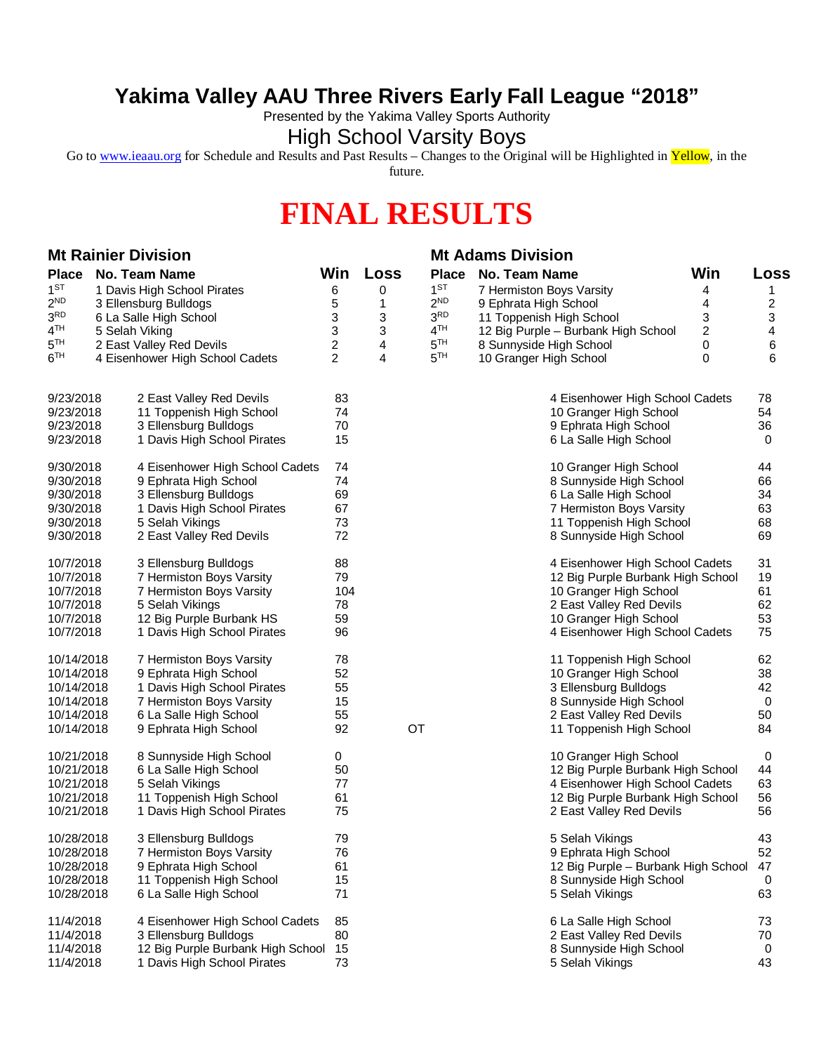## **Yakima Valley AAU Three Rivers Early Fall League "2018"**

Presented by the Yakima Valley Sports Authority

## High School Varsity Boys

Go to [www.ieaau.org](http://www.ieaau.org) for Schedule and Results and Past Results – Changes to the Original will be Highlighted in Yellow, in the future.

## **FINAL RESULTS**

| <b>Mt Rainier Division</b> |                        |                                   |                |      |                 | <b>Mt Adams Division</b>            |                         |                         |  |
|----------------------------|------------------------|-----------------------------------|----------------|------|-----------------|-------------------------------------|-------------------------|-------------------------|--|
| <b>Place</b>               |                        | <b>No. Team Name</b>              | Win            | Loss | <b>Place</b>    | No. Team Name                       | Win                     | Loss                    |  |
| 1 <sup>ST</sup>            |                        | 1 Davis High School Pirates       | 6              | 0    | 1 <sup>ST</sup> | 7 Hermiston Boys Varsity            | 4                       | 1                       |  |
| $2^{ND}$                   | 3 Ellensburg Bulldogs  |                                   | 5              | 1    | 2 <sup>ND</sup> | 9 Ephrata High School               | 4                       | $\overline{\mathbf{c}}$ |  |
| $3^{\rm RD}$               | 6 La Salle High School |                                   | 3              | 3    | 3 <sub>RD</sub> | 11 Toppenish High School            | 3                       | 3                       |  |
| 4 <sup>TH</sup>            |                        | 5 Selah Viking                    | 3              | 3    | 4 <sup>TH</sup> | 12 Big Purple - Burbank High School | $\overline{\mathbf{c}}$ | 4                       |  |
| 5 <sup>TH</sup>            |                        | 2 East Valley Red Devils          | $\overline{c}$ | 4    | 5 <sup>TH</sup> | 8 Sunnyside High School             | 0                       | 6                       |  |
| 6 <sup>TH</sup>            |                        | 4 Eisenhower High School Cadets   | $\overline{2}$ | 4    | 5 <sup>TH</sup> | 10 Granger High School              | 0                       | 6                       |  |
| 9/23/2018                  |                        | 2 East Valley Red Devils          | 83             |      |                 | 4 Eisenhower High School Cadets     |                         | 78                      |  |
| 9/23/2018                  |                        | 11 Toppenish High School          | 74             |      |                 | 10 Granger High School              |                         | 54                      |  |
| 9/23/2018                  |                        | 3 Ellensburg Bulldogs             | 70             |      |                 | 9 Ephrata High School               |                         | 36                      |  |
| 9/23/2018                  |                        | 1 Davis High School Pirates       | 15             |      |                 | 6 La Salle High School              |                         | 0                       |  |
| 9/30/2018                  |                        | 4 Eisenhower High School Cadets   | 74             |      |                 | 10 Granger High School              |                         | 44                      |  |
| 9/30/2018                  |                        | 9 Ephrata High School             | 74             |      |                 | 8 Sunnyside High School             |                         | 66                      |  |
| 9/30/2018                  |                        | 3 Ellensburg Bulldogs             | 69             |      |                 | 6 La Salle High School              |                         | 34                      |  |
| 9/30/2018                  |                        | 1 Davis High School Pirates       | 67             |      |                 | 7 Hermiston Boys Varsity            |                         | 63                      |  |
| 9/30/2018                  |                        | 5 Selah Vikings                   | 73             |      |                 | 11 Toppenish High School            |                         | 68                      |  |
| 9/30/2018                  |                        | 2 East Valley Red Devils          | 72             |      |                 | 8 Sunnyside High School             |                         | 69                      |  |
| 10/7/2018                  |                        | 3 Ellensburg Bulldogs             | 88             |      |                 | 4 Eisenhower High School Cadets     |                         | 31                      |  |
| 10/7/2018                  |                        | 7 Hermiston Boys Varsity          | 79             |      |                 | 12 Big Purple Burbank High School   |                         | 19                      |  |
| 10/7/2018                  |                        | 7 Hermiston Boys Varsity          | 104            |      |                 | 10 Granger High School              |                         | 61                      |  |
| 10/7/2018                  |                        | 5 Selah Vikings                   | 78             |      |                 | 2 East Valley Red Devils            |                         | 62                      |  |
| 10/7/2018                  |                        | 12 Big Purple Burbank HS          | 59             |      |                 | 10 Granger High School              |                         | 53                      |  |
| 10/7/2018                  |                        | 1 Davis High School Pirates       | 96             |      |                 | 4 Eisenhower High School Cadets     |                         | 75                      |  |
| 10/14/2018                 |                        | 7 Hermiston Boys Varsity          | 78             |      |                 | 11 Toppenish High School            |                         | 62                      |  |
| 10/14/2018                 |                        | 9 Ephrata High School             | 52             |      |                 | 10 Granger High School              |                         | 38                      |  |
| 10/14/2018                 |                        | 1 Davis High School Pirates       | 55             |      |                 | 3 Ellensburg Bulldogs               |                         | 42                      |  |
| 10/14/2018                 |                        | 7 Hermiston Boys Varsity          | 15             |      |                 | 8 Sunnyside High School             |                         | $\mathbf 0$             |  |
| 10/14/2018                 |                        | 6 La Salle High School            | 55             |      |                 | 2 East Valley Red Devils            |                         | 50                      |  |
| 10/14/2018                 |                        | 9 Ephrata High School             | 92             |      | OT              | 11 Toppenish High School            |                         | 84                      |  |
| 10/21/2018                 |                        | 8 Sunnyside High School           | 0              |      |                 | 10 Granger High School              |                         | 0                       |  |
| 10/21/2018                 |                        | 6 La Salle High School            | 50             |      |                 | 12 Big Purple Burbank High School   |                         | 44                      |  |
| 10/21/2018                 |                        | 5 Selah Vikings                   | 77             |      |                 | 4 Eisenhower High School Cadets     |                         | 63                      |  |
| 10/21/2018                 |                        | 11 Toppenish High School          | 61             |      |                 | 12 Big Purple Burbank High School   |                         | 56                      |  |
| 10/21/2018                 |                        | 1 Davis High School Pirates       | 75             |      |                 | 2 East Valley Red Devils            |                         | 56                      |  |
| 10/28/2018                 |                        | 3 Ellensburg Bulldogs             | 79             |      |                 | 5 Selah Vikings                     |                         | 43                      |  |
| 10/28/2018                 |                        | 7 Hermiston Boys Varsity          | 76             |      |                 | 9 Ephrata High School               |                         | 52                      |  |
| 10/28/2018                 |                        | 9 Ephrata High School             | 61             |      |                 | 12 Big Purple - Burbank High School |                         | 47                      |  |
| 10/28/2018                 |                        | 11 Toppenish High School          | 15             |      |                 | 8 Sunnyside High School             |                         | 0                       |  |
| 10/28/2018                 |                        | 6 La Salle High School            | 71             |      |                 | 5 Selah Vikings                     |                         | 63                      |  |
| 11/4/2018                  |                        | 4 Eisenhower High School Cadets   | 85             |      |                 | 6 La Salle High School              |                         | 73                      |  |
| 11/4/2018                  |                        | 3 Ellensburg Bulldogs             | 80             |      |                 | 2 East Valley Red Devils            |                         | 70                      |  |
| 11/4/2018                  |                        | 12 Big Purple Burbank High School | 15             |      |                 | 8 Sunnyside High School             |                         | 0                       |  |
| 11/4/2018                  |                        | 1 Davis High School Pirates       | 73             |      |                 | 5 Selah Vikings                     |                         | 43                      |  |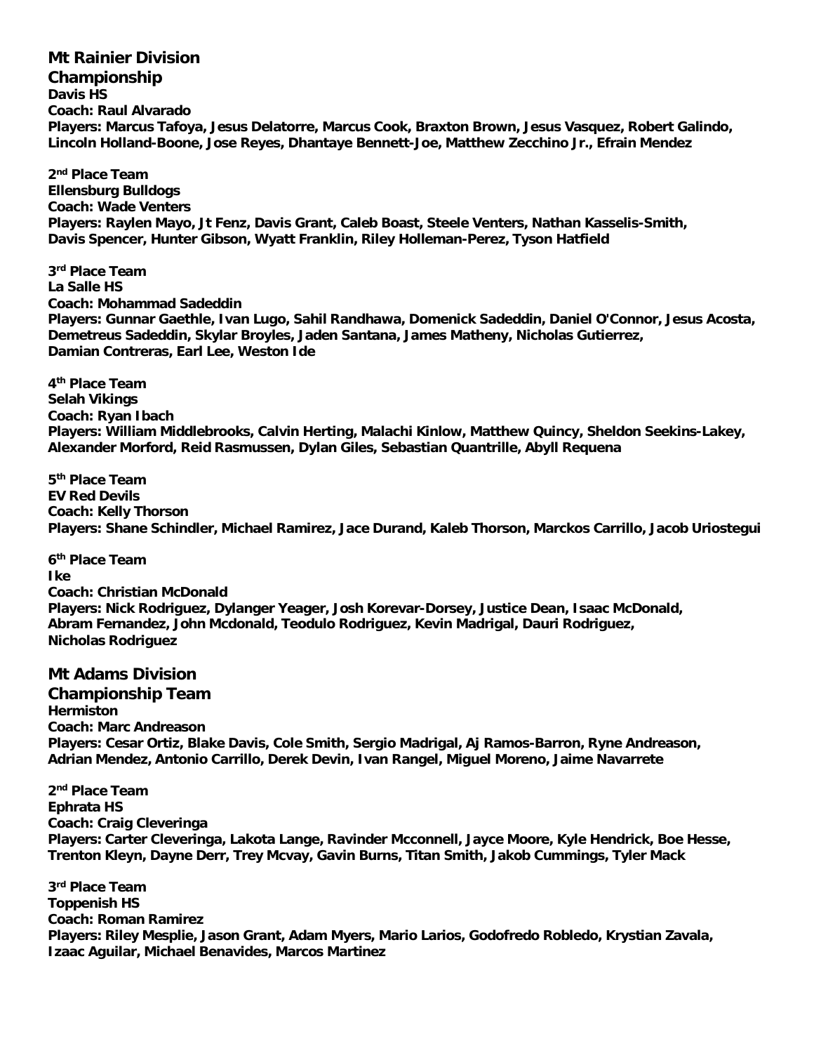**Mt Rainier Division Championship Davis HS Coach: Raul Alvarado Players: Marcus Tafoya, Jesus Delatorre, Marcus Cook, Braxton Brown, Jesus Vasquez, Robert Galindo, Lincoln Holland-Boone, Jose Reyes, Dhantaye Bennett-Joe, Matthew Zecchino Jr., Efrain Mendez**

**2 nd Place Team Ellensburg Bulldogs Coach: Wade Venters Players: Raylen Mayo, Jt Fenz, Davis Grant, Caleb Boast, Steele Venters, Nathan Kasselis-Smith, Davis Spencer, Hunter Gibson, Wyatt Franklin, Riley Holleman-Perez, Tyson Hatfield**

**3 rd Place Team La Salle HS Coach: Mohammad Sadeddin Players: Gunnar Gaethle, Ivan Lugo, Sahil Randhawa, Domenick Sadeddin, Daniel O'Connor, Jesus Acosta, Demetreus Sadeddin, Skylar Broyles, Jaden Santana, James Matheny, Nicholas Gutierrez, Damian Contreras, Earl Lee, Weston Ide**

**4 th Place Team Selah Vikings Coach: Ryan Ibach Players: William Middlebrooks, Calvin Herting, Malachi Kinlow, Matthew Quincy, Sheldon Seekins-Lakey, Alexander Morford, Reid Rasmussen, Dylan Giles, Sebastian Quantrille, Abyll Requena**

**5 th Place Team EV Red Devils Coach: Kelly Thorson Players: Shane Schindler, Michael Ramirez, Jace Durand, Kaleb Thorson, Marckos Carrillo, Jacob Uriostegui**

**6 th Place Team Ike Coach: Christian McDonald Players: Nick Rodriguez, Dylanger Yeager, Josh Korevar-Dorsey, Justice Dean, Isaac McDonald, Abram Fernandez, John Mcdonald, Teodulo Rodriguez, Kevin Madrigal, Dauri Rodriguez, Nicholas Rodriguez**

**Mt Adams Division Championship Team Hermiston Coach: Marc Andreason Players: Cesar Ortiz, Blake Davis, Cole Smith, Sergio Madrigal, Aj Ramos-Barron, Ryne Andreason, Adrian Mendez, Antonio Carrillo, Derek Devin, Ivan Rangel, Miguel Moreno, Jaime Navarrete**

**2 nd Place Team Ephrata HS Coach: Craig Cleveringa Players: Carter Cleveringa, Lakota Lange, Ravinder Mcconnell, Jayce Moore, Kyle Hendrick, Boe Hesse, Trenton Kleyn, Dayne Derr, Trey Mcvay, Gavin Burns, Titan Smith, Jakob Cummings, Tyler Mack**

**3 rd Place Team Toppenish HS Coach: Roman Ramirez Players: Riley Mesplie, Jason Grant, Adam Myers, Mario Larios, Godofredo Robledo, Krystian Zavala, Izaac Aguilar, Michael Benavides, Marcos Martinez**